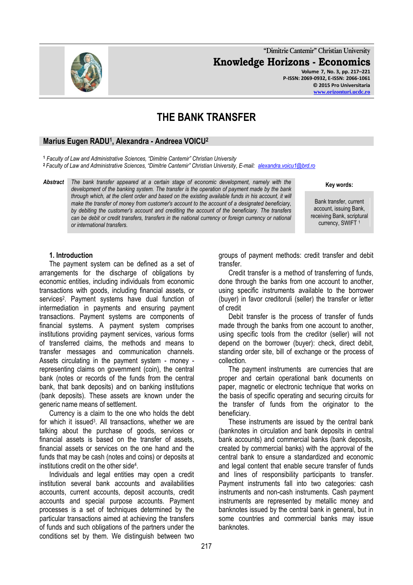

**"Dimitrie Cantemir" Christian University Knowledge Horizons - Economics Volume 7, No. 3, pp. 217–221 P-ISSN: 2069-0932, E-ISSN: 2066-1061 © 2015 Pro Universitaria**

**[www.orizonturi.ucdc.ro](http://www.orizonturi.ucdc.ro/)**

# **THE BANK TRANSFER**

## **Marius Eugen RADU<sup>1</sup> , Alexandra - Andreea VOICU<sup>2</sup>**

**<sup>1</sup>** *Faculty of Law and Administrative Sciences, "Dimitrie Cantemir" Christian University*

**<sup>2</sup>** *Faculty of Law and Administrative Sciences, "Dimitrie Cantemir" Christian University, E-mail: [alexandra.voicu1@brd.ro](mailto:alexandra.voicu1@brd.ro)*

*Abstract The bank transfer appeared at a certain stage of economic development, namely with the development of the banking system. The transfer is the operation of payment made by the bank through which, at the client order and based on the existing available funds in his account, it will make the transfer of money from customer's account to the account of a designated beneficiary, by debiting the customer's account and crediting the account of the beneficiary. The transfers can be debit or credit transfers, transfers in the national currency or foreign currency or national or international transfers.*

> groups of payment methods: credit transfer and debit transfer.

> Credit transfer is a method of transferring of funds, done through the banks from one account to another, using specific instruments available to the borrower (buyer) in favor creditoruli (seller) the transfer or letter of credit

> Debit transfer is the process of transfer of funds made through the banks from one account to another. using specific tools from the creditor (seller) will not depend on the borrower (buyer): check, direct debit, standing order site, bill of exchange or the process of collection.

> The payment instruments are currencies that are proper and certain operational bank documents on paper, magnetic or electronic technique that works on the basis of specific operating and securing circuits for the transfer of funds from the originator to the beneficiary.

> These instruments are issued by the central bank (banknotes in circulation and bank deposits in central bank accounts) and commercial banks (bank deposits, created by commercial banks) with the approval of the central bank to ensure a standardized and economic and legal content that enable secure transfer of funds and lines of responsibility participants to transfer. Payment instruments fall into two categories: cash instruments and non-cash instruments. Cash payment instruments are represented by metallic money and banknotes issued by the central bank in general, but in some countries and commercial banks may issue banknotes.

#### **1. Introduction**

The payment system can be defined as a set of arrangements for the discharge of obligations by economic entities, including individuals from economic transactions with goods, including financial assets, or services<sup>2</sup>. Payment systems have dual function of intermediation in payments and ensuring payment transactions. Payment systems are components of financial systems. A payment system comprises institutions providing payment services, various forms of transferred claims, the methods and means to transfer messages and communication channels. Assets circulating in the payment system - money representing claims on government (coin), the central bank (notes or records of the funds from the central bank, that bank deposits) and on banking institutions (bank deposits). These assets are known under the generic name means of settlement.

Currency is a claim to the one who holds the debt for which it issued<sup>3</sup>. All transactions, whether we are talking about the purchase of goods, services or financial assets is based on the transfer of assets, financial assets or services on the one hand and the funds that may be cash (notes and coins) or deposits at institutions credit on the other side<sup>4</sup>.

Individuals and legal entities may open a credit institution several bank accounts and availabilities accounts, current accounts, deposit accounts, credit accounts and special purpose accounts. Payment processes is a set of techniques determined by the particular transactions aimed at achieving the transfers of funds and such obligations of the partners under the conditions set by them. We distinguish between two

#### **Key words:**

Bank transfer, current account, issuing Bank, receiving Bank, scriptural currency, SWIFT<sup>1</sup>



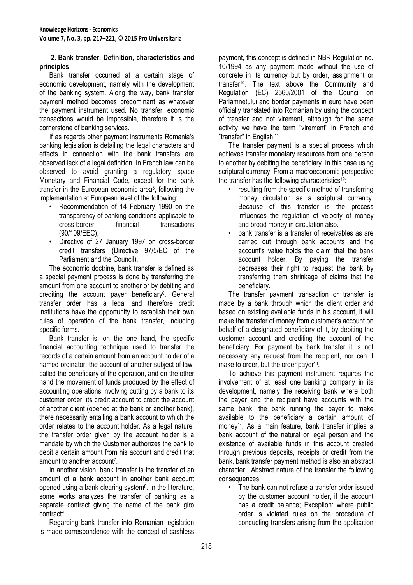## **2. Bank transfer. Definition, characteristics and principles**

Bank transfer occurred at a certain stage of economic development, namely with the development of the banking system. Along the way, bank transfer payment method becomes predominant as whatever the payment instrument used. No transfer, economic transactions would be impossible, therefore it is the cornerstone of banking services.

If as regards other payment instruments Romania's banking legislation is detailing the legal characters and effects in connection with the bank transfers are observed lack of a legal definition. In French law can be observed to avoid granting a regulatory space Monetary and Financial Code, except for the bank transfer in the European economic area<sup>5</sup>, following the implementation at European level of the following:

- Recommendation of 14 February 1990 on the transparency of banking conditions applicable to cross-border financial transactions (90/109/EEC);
- Directive of 27 January 1997 on cross-border credit transfers (Directive 97/5/EC of the Parliament and the Council).

The economic doctrine, bank transfer is defined as a special payment process is done by transferring the amount from one account to another or by debiting and crediting the account payer beneficiary<sup>6</sup>. General transfer order has a legal and therefore credit institutions have the opportunity to establish their own rules of operation of the bank transfer, including specific forms.

Bank transfer is, on the one hand, the specific financial accounting technique used to transfer the records of a certain amount from an account holder of a named ordinator, the account of another subject of law, called the beneficiary of the operation, and on the other hand the movement of funds produced by the effect of accounting operations involving cutting by a bank to its customer order, its credit account to credit the account of another client (opened at the bank or another bank), there necessarily entailing a bank account to which the order relates to the account holder. As a legal nature, the transfer order given by the account holder is a mandate by which the Customer authorizes the bank to debit a certain amount from his account and credit that amount to another account<sup>7</sup>.

In another vision, bank transfer is the transfer of an amount of a bank account in another bank account opened using a bank clearing system<sup>8</sup>. In the literature, some works analyzes the transfer of banking as a separate contract giving the name of the bank giro contract<sup>9</sup> .

Regarding bank transfer into Romanian legislation is made correspondence with the concept of cashless payment, this concept is defined in NBR Regulation no. 10/1994 as any payment made without the use of concrete in its currency but by order, assignment or transfer<sup>10</sup> . The text above the Community and Regulation (EC) 2560/2001 of the Council on Parlamnetului and border payments in euro have been officially translated into Romanian by using the concept of transfer and not virement, although for the same activity we have the term "virement" in French and "transfer" in English.<sup>11</sup>

The transfer payment is a special process which achieves transfer monetary resources from one person to another by debiting the beneficiary. In this case using scriptural currency. From a macroeconomic perspective the transfer has the following characteristics $12$ :

- resulting from the specific method of transferring money circulation as a scriptural currency. Because of this transfer is the process influences the regulation of velocity of money and broad money in circulation also.
- bank transfer is a transfer of receivables as are carried out through bank accounts and the account's value holds the claim that the bank account holder. By paying the transfer decreases their right to request the bank by transferring them shrinkage of claims that the beneficiary.

The transfer payment transaction or transfer is made by a bank through which the client order and based on existing available funds in his account, it will make the transfer of money from customer's account on behalf of a designated beneficiary of it, by debiting the customer account and crediting the account of the beneficiary. For payment by bank transfer it is not necessary any request from the recipient, nor can it make to order, but the order payer<sup>13</sup>.

To achieve this payment instrument requires the involvement of at least one banking company in its development, namely the receiving bank where both the payer and the recipient have accounts with the same bank, the bank running the payer to make available to the beneficiary a certain amount of money<sup>14</sup>. As a main feature, bank transfer implies a bank account of the natural or legal person and the existence of available funds in this account created through previous deposits, receipts or credit from the bank, bank transfer payment method is also an abstract character . Abstract nature of the transfer the following consequences:

• The bank can not refuse a transfer order issued by the customer account holder, if the account has a credit balance; Exception: where public order is violated rules on the procedure of conducting transfers arising from the application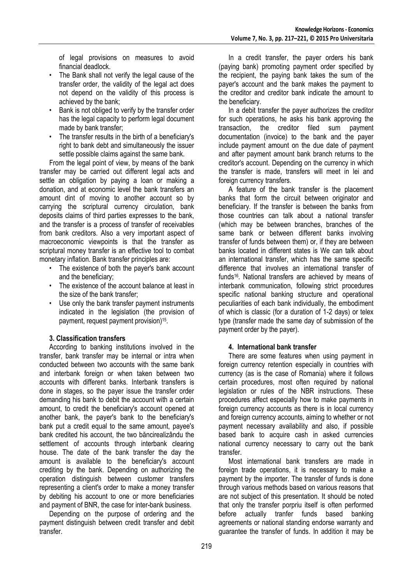of legal provisions on measures to avoid financial deadlock.

- The Bank shall not verify the legal cause of the transfer order, the validity of the legal act does not depend on the validity of this process is achieved by the bank;
- Bank is not obliged to verify by the transfer order has the legal capacity to perform legal document made by bank transfer;
- The transfer results in the birth of a beneficiary's right to bank debt and simultaneously the issuer settle possible claims against the same bank.

From the legal point of view, by means of the bank transfer may be carried out different legal acts and settle an obligation by paying a loan or making a donation, and at economic level the bank transfers an amount dint of moving to another account so by carrying the scriptural currency circulation, bank deposits claims of third parties expresses to the bank, and the transfer is a process of transfer of receivables from bank creditors. Also a very important aspect of macroeconomic viewpoints is that the transfer as scriptural money transfer is an effective tool to combat monetary inflation. Bank transfer principles are:

- The existence of both the payer's bank account and the beneficiary;
- The existence of the account balance at least in the size of the bank transfer;
- Use only the bank transfer payment instruments indicated in the legislation (the provision of payment, request payment provision)<sup>15</sup>.

## **3. Classification transfers**

According to banking institutions involved in the transfer, bank transfer may be internal or intra when conducted between two accounts with the same bank and interbank foreign or when taken between two accounts with different banks. Interbank transfers is done in stages, so the payer issue the transfer order demanding his bank to debit the account with a certain amount, to credit the beneficiary's account opened at another bank, the payer's bank to the beneficiary's bank put a credit equal to the same amount, payee's bank credited his account, the two băncirealizându the settlement of accounts through interbank clearing house. The date of the bank transfer the day the amount is available to the beneficiary's account crediting by the bank. Depending on authorizing the operation distinguish between customer transfers representing a client's order to make a money transfer by debiting his account to one or more beneficiaries and payment of BNR, the case for inter-bank business.

Depending on the purpose of ordering and the payment distinguish between credit transfer and debit transfer.

In a credit transfer, the payer orders his bank (paying bank) promoting payment order specified by the recipient, the paying bank takes the sum of the payer's account and the bank makes the payment to the creditor and creditor bank indicate the amount to the beneficiary.

In a debit transfer the payer authorizes the creditor for such operations, he asks his bank approving the transaction, the creditor filed sum payment documentation (invoice) to the bank and the payer include payment amount on the due date of payment and after payment amount bank branch returns to the creditor's account. Depending on the currency in which the transfer is made, transfers will meet in lei and foreign currency transfers.

A feature of the bank transfer is the placement banks that form the circuit between originator and beneficiary. If the transfer is between the banks from those countries can talk about a national transfer (which may be between branches, branches of the same bank or between different banks involving transfer of funds between them) or, if they are between banks located in different states is We can talk about an international transfer, which has the same specific difference that involves an international transfer of funds<sup>16</sup>. National transfers are achieved by means of interbank communication, following strict procedures specific national banking structure and operational peculiarities of each bank individually, the embodiment of which is classic (for a duration of 1-2 days) or telex type (transfer made the same day of submission of the payment order by the payer).

## **4. International bank transfer**

There are some features when using payment in foreign currency retention especially in countries with currency (as is the case of Romania) where it follows certain procedures, most often required by national legislation or rules of the NBR instructions. These procedures affect especially how to make payments in foreign currency accounts as there is in local currency and foreign currency accounts, aiming to whether or not payment necessary availability and also, if possible based bank to acquire cash in asked currencies national currency necessary to carry out the bank transfer.

Most international bank transfers are made in foreign trade operations, it is necessary to make a payment by the importer. The transfer of funds is done through various methods based on various reasons that are not subject of this presentation. It should be noted that only the transfer porpriu itself is often performed before actually tranfer funds based banking agreements or national standing endorse warranty and guarantee the transfer of funds. In addition it may be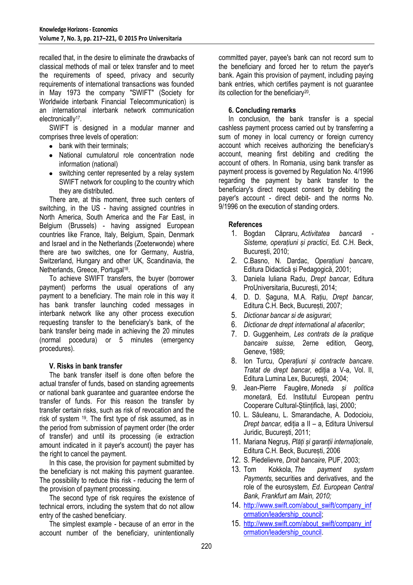recalled that, in the desire to eliminate the drawbacks of classical methods of mail or telex transfer and to meet the requirements of speed, privacy and security requirements of international transactions was founded in May 1973 the company "SWIFT" (Society for Worldwide interbank Financial Telecommunication) is an international interbank network communication electronically<sup>17</sup>.

SWIFT is designed in a modular manner and comprises three levels of operation:

- bank with their terminals:
- National cumulatorul role concentration node information (national)
- switching center represented by a relay system SWIFT network for coupling to the country which they are distributed.

There are, at this moment, three such centers of switching, in the US - having assigned countries in North America, South America and the Far East, in Belgium (Brussels) - having assigned European countries like France, Italy, Belgium, Spain, Denmark and Israel and in the Netherlands (Zoeterwonde) where there are two switches, one for Germany, Austria, Switzerland, Hungary and other UK, Scandinavia, the Netherlands, Greece, Portugal<sup>18</sup>.

To achieve SWIFT transfers, the buyer (borrower payment) performs the usual operations of any payment to a beneficiary. The main role in this way it has bank transfer launching coded messages in interbank network like any other process execution requesting transfer to the beneficiary's bank, of the bank transfer being made in achieving the 20 minutes (normal pocedura) or 5 minutes (emergency procedures).

## **V. Risks in bank transfer**

The bank transfer itself is done often before the actual transfer of funds, based on standing agreements or national bank guarantee and guarantee endorse the transfer of funds. For this reason the transfer by transfer certain risks, such as risk of revocation and the risk of system <sup>19</sup> . The first type of risk assumed, as in the period from submission of payment order (the order of transfer) and until its processing (ie extraction amount indicated in it payer's account) the payer has the right to cancel the payment.

In this case, the provision for payment submitted by the beneficiary is not making this payment guarantee. The possibility to reduce this risk - reducing the term of the provision of payment processing.

The second type of risk requires the existence of technical errors, including the system that do not allow entry of the cashed beneficiary.

The simplest example - because of an error in the account number of the beneficiary, unintentionally

committed payer, payee's bank can not record sum to the beneficiary and forced her to return the payer's bank. Again this provision of payment, including paying bank entries, which certifies payment is not guarantee its collection for the beneficiary<sup>20</sup>.

## **6. Concluding remarks**

In conclusion, the bank transfer is a special cashless payment process carried out by transferring a sum of money in local currency or foreign currency account which receives authorizing the beneficiary's account, meaning first debiting and crediting the account of others. In Romania, using bank transfer as payment process is governed by Regulation No. 4/1996 regarding the payment by bank transfer to the beneficiary's direct request consent by debiting the payer's account - direct debit- and the norms No. 9/1996 on the execution of standing orders.

## **References**

- 1. Bogdan Căpraru, *Activitatea bancară - Sisteme, operațiuni și practici*, Ed. C.H. Beck, București, 2010;
- 2. C.Basno, N. Dardac, *Operațiuni bancare*, Editura Didactică și Pedagogică, 2001;
- 3. Daniela Iuliana Radu, *Drept bancar,* Editura ProUniversitaria, București, 2014;
- 4. D. D. Șaguna, M.A. Rațiu, *Drept bancar,*  Editura C.H. Beck, București, 2007;
- 5. *Dictionar bancar si de asigurari*;
- 6. *Dictionar de drept international al afacerilor*;
- 7. D. Guggenheim, *Les contrats de la pratique bancaire suisse,* 2erne edition*,* Georg, Geneve, 1989;
- 8. Ion Turcu, *Operațiuni și contracte bancare. Tratat de drept bancar,* ediția a V-a, Vol. II, Editura Lumina Lex, București, 2004;
- 9. Jean-Pierre Faugère, *Moneda și politica monetară*, Ed. Institutul European pentru Cooperare Cultural-Științifică, Iași, 2000;
- 10. L. Săuleanu, L. Smarandache, A. Dodocioiu, *Drept bancar,* ediția a II – a, Editura Universul Juridic, București, 2011;
- 11. Mariana Negruș, *Plăți și garanții internaționale,*  Editura C.H. Beck, București, 2006
- 12. S. Piedelievre, *Droit bancaire,* PUF, 2003;
- 13. Tom Kokkola, *The payment system Payments,* securities and derivatives, and the role of the eurosystem*, Ed. European Central Bank, Frankfurt am Main, 2010;*
- 14. [http://www.swift.com/about\\_swift/company\\_inf](http://www.swift.com/about_swift/company_information/leadership_council) [ormation/leadership\\_council;](http://www.swift.com/about_swift/company_information/leadership_council)
- 15. [http://www.swift.com/about\\_swift/company\\_inf](http://www.swift.com/about_swift/company_information/leadership_council) [ormation/leadership\\_council.](http://www.swift.com/about_swift/company_information/leadership_council)